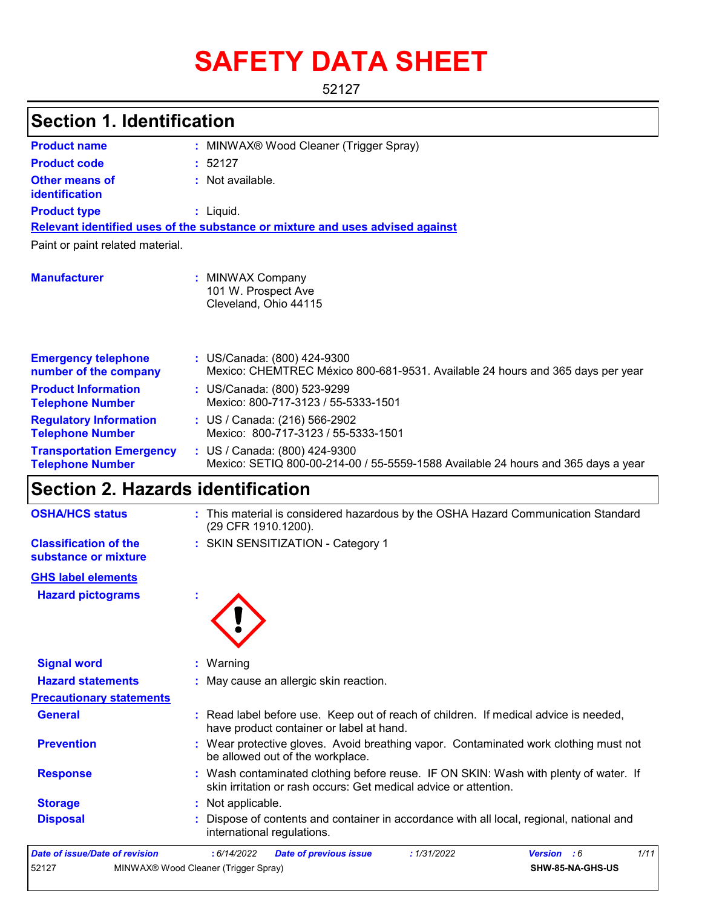# **SAFETY DATA SHEET**

52127

| <b>Section 1. Identification</b>                           |                                                                                                                                |
|------------------------------------------------------------|--------------------------------------------------------------------------------------------------------------------------------|
| <b>Product name</b>                                        | : MINWAX® Wood Cleaner (Trigger Spray)                                                                                         |
| <b>Product code</b>                                        | : 52127                                                                                                                        |
| <b>Other means of</b><br>identification                    | : Not available.                                                                                                               |
| <b>Product type</b>                                        | : Liquid.                                                                                                                      |
|                                                            | Relevant identified uses of the substance or mixture and uses advised against                                                  |
| Paint or paint related material.                           |                                                                                                                                |
| <b>Manufacturer</b>                                        | <b>MINWAX Company</b><br>101 W. Prospect Ave<br>Cleveland, Ohio 44115                                                          |
| <b>Emergency telephone</b><br>number of the company        | : US/Canada: (800) 424-9300<br>Mexico: CHEMTREC México 800-681-9531. Available 24 hours and 365 days per year                  |
| <b>Product Information</b><br><b>Telephone Number</b>      | : US/Canada: (800) 523-9299<br>Mexico: 800-717-3123 / 55-5333-1501                                                             |
| <b>Regulatory Information</b><br><b>Telephone Number</b>   | : US / Canada: (216) 566-2902<br>Mexico: 800-717-3123 / 55-5333-1501                                                           |
| <b>Transportation Emergency</b><br><b>Telephone Number</b> | : US / Canada: (800) 424-9300<br>Mexico: SETIQ 800-00-214-00 / 55-5559-1588 Available 24 hours and 365 days a year             |
| <b>Section 2. Hazards identification</b>                   |                                                                                                                                |
| <b>OSHA/HCS status</b>                                     | : This material is considered hazardous by the OSHA Hazard Communication Standard<br>(29 CFR 1910.1200).                       |
| <b>Classification of the</b><br>substance or mixture       | : SKIN SENSITIZATION - Category 1                                                                                              |
| <b>GHS label elements</b>                                  |                                                                                                                                |
| <b>Hazard pictograms</b>                                   |                                                                                                                                |
| <b>Signal word</b>                                         | Warning<br>ř.                                                                                                                  |
| <b>Hazard statements</b>                                   | May cause an allergic skin reaction.                                                                                           |
| <b>Precautionary statements</b>                            |                                                                                                                                |
| <b>General</b>                                             | Read label before use. Keep out of reach of children. If medical advice is needed,<br>have product container or label at hand. |

skin irritation or rash occurs: Get medical advice or attention. **Storage :** Not applicable. **Disposal** Dispose of contents and container in accordance with all local, regional, national and **:** international regulations. *Date of issue/Date of revision* **:** *6/14/2022 Date of previous issue : 1/31/2022 Version : 6 1/11* 52127 MINWAX® Wood Cleaner (Trigger Spray) **SHW-85-NA-GHS-US**

**Prevention :** Wear protective gloves. Avoid breathing vapor. Contaminated work clothing must not

**Response :** Wash contaminated clothing before reuse. IF ON SKIN: Wash with plenty of water. If

be allowed out of the workplace.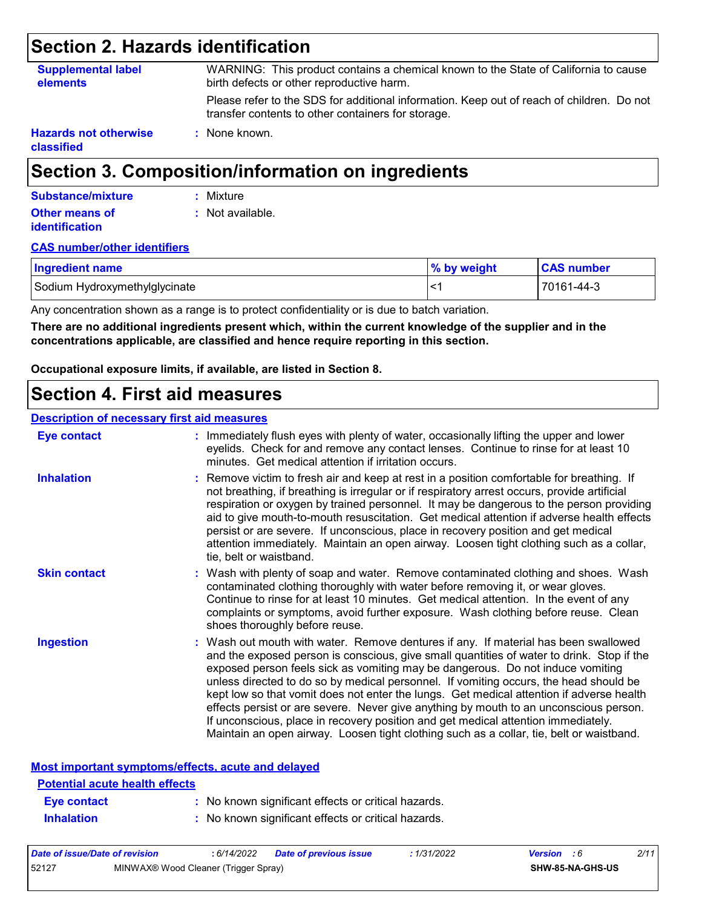### **Section 2. Hazards identification**

| <b>Supplemental label</b><br><b>elements</b> | WARNING: This product contains a chemical known to the State of California to cause<br>birth defects or other reproductive harm.                |
|----------------------------------------------|-------------------------------------------------------------------------------------------------------------------------------------------------|
|                                              | Please refer to the SDS for additional information. Keep out of reach of children. Do not<br>transfer contents to other containers for storage. |
| <b>Hazards not otherwise</b><br>classified   | : None known.                                                                                                                                   |

### **Section 3. Composition/information on ingredients**

| Substance/mixture                              | : Mixture        |
|------------------------------------------------|------------------|
| <b>Other means of</b><br><b>identification</b> | : Not available. |

#### **CAS number/other identifiers**

| <b>Ingredient name</b>        | % by weight | <b>CAS number</b> |
|-------------------------------|-------------|-------------------|
| Sodium Hydroxymethylglycinate | ′> ا        | 70161-44-3        |

Any concentration shown as a range is to protect confidentiality or is due to batch variation.

**There are no additional ingredients present which, within the current knowledge of the supplier and in the concentrations applicable, are classified and hence require reporting in this section.**

**Occupational exposure limits, if available, are listed in Section 8.**

### **Section 4. First aid measures**

#### **Description of necessary first aid measures**

| <b>Eye contact</b>  | : Immediately flush eyes with plenty of water, occasionally lifting the upper and lower<br>eyelids. Check for and remove any contact lenses. Continue to rinse for at least 10<br>minutes. Get medical attention if irritation occurs.                                                                                                                                                                                                                                                                                                                                                                                                                                                                                            |
|---------------------|-----------------------------------------------------------------------------------------------------------------------------------------------------------------------------------------------------------------------------------------------------------------------------------------------------------------------------------------------------------------------------------------------------------------------------------------------------------------------------------------------------------------------------------------------------------------------------------------------------------------------------------------------------------------------------------------------------------------------------------|
| <b>Inhalation</b>   | : Remove victim to fresh air and keep at rest in a position comfortable for breathing. If<br>not breathing, if breathing is irregular or if respiratory arrest occurs, provide artificial<br>respiration or oxygen by trained personnel. It may be dangerous to the person providing<br>aid to give mouth-to-mouth resuscitation. Get medical attention if adverse health effects<br>persist or are severe. If unconscious, place in recovery position and get medical<br>attention immediately. Maintain an open airway. Loosen tight clothing such as a collar,<br>tie, belt or waistband.                                                                                                                                      |
| <b>Skin contact</b> | : Wash with plenty of soap and water. Remove contaminated clothing and shoes. Wash<br>contaminated clothing thoroughly with water before removing it, or wear gloves.<br>Continue to rinse for at least 10 minutes. Get medical attention. In the event of any<br>complaints or symptoms, avoid further exposure. Wash clothing before reuse. Clean<br>shoes thoroughly before reuse.                                                                                                                                                                                                                                                                                                                                             |
| <b>Ingestion</b>    | : Wash out mouth with water. Remove dentures if any. If material has been swallowed<br>and the exposed person is conscious, give small quantities of water to drink. Stop if the<br>exposed person feels sick as vomiting may be dangerous. Do not induce vomiting<br>unless directed to do so by medical personnel. If vomiting occurs, the head should be<br>kept low so that vomit does not enter the lungs. Get medical attention if adverse health<br>effects persist or are severe. Never give anything by mouth to an unconscious person.<br>If unconscious, place in recovery position and get medical attention immediately.<br>Maintain an open airway. Loosen tight clothing such as a collar, tie, belt or waistband. |

#### **Most important symptoms/effects, acute and delayed**

| <b>Potential acute health effects</b> |                                                     |
|---------------------------------------|-----------------------------------------------------|
| <b>Eve contact</b>                    | : No known significant effects or critical hazards. |
| <b>Inhalation</b>                     | : No known significant effects or critical hazards. |

| Date of issue/Date of revision |                                      | 6/14/2022 | <b>Date of previous issue</b> | 1/31/2022 | <b>Version</b> : 6      | 2/11 |
|--------------------------------|--------------------------------------|-----------|-------------------------------|-----------|-------------------------|------|
| 52127                          | MINWAX® Wood Cleaner (Trigger Spray) |           |                               |           | <b>SHW-85-NA-GHS-US</b> |      |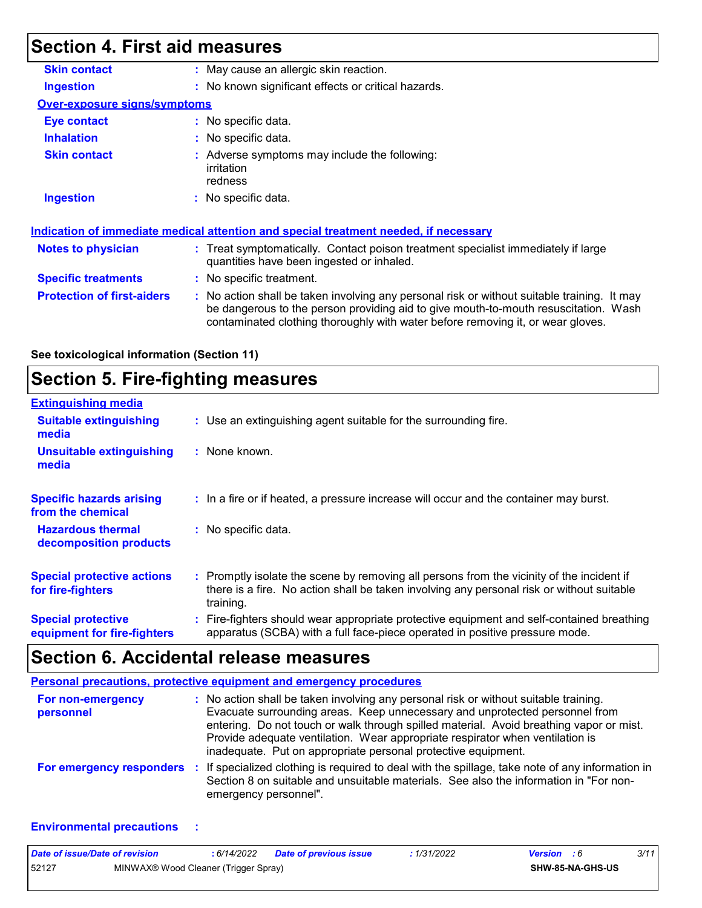# **Section 4. First aid measures**

| <b>Skin contact</b>                 | : May cause an allergic skin reaction.                                                                                                                                                                                                                                    |
|-------------------------------------|---------------------------------------------------------------------------------------------------------------------------------------------------------------------------------------------------------------------------------------------------------------------------|
| Ingestion                           | : No known significant effects or critical hazards.                                                                                                                                                                                                                       |
| <b>Over-exposure signs/symptoms</b> |                                                                                                                                                                                                                                                                           |
| Eye contact                         | $:$ No specific data.                                                                                                                                                                                                                                                     |
| <b>Inhalation</b>                   | : No specific data.                                                                                                                                                                                                                                                       |
| <b>Skin contact</b>                 | : Adverse symptoms may include the following:<br>irritation<br>redness                                                                                                                                                                                                    |
| <b>Ingestion</b>                    | : No specific data.                                                                                                                                                                                                                                                       |
|                                     | Indication of immediate medical attention and special treatment needed, if necessary                                                                                                                                                                                      |
| Notes to physician                  | : Treat symptomatically. Contact poison treatment specialist immediately if large<br>quantities have been ingested or inhaled.                                                                                                                                            |
| <b>Specific treatments</b>          | : No specific treatment.                                                                                                                                                                                                                                                  |
| <b>Protection of first-aiders</b>   | No action shall be taken involving any personal risk or without suitable training. It may<br>÷.<br>be dangerous to the person providing aid to give mouth-to-mouth resuscitation. Wash<br>contaminated clothing thoroughly with water before removing it, or wear gloves. |

**See toxicological information (Section 11)**

### **Section 5. Fire-fighting measures**

| <b>Extinguishing media</b>                               |                                                                                                                                                                                                     |
|----------------------------------------------------------|-----------------------------------------------------------------------------------------------------------------------------------------------------------------------------------------------------|
| <b>Suitable extinguishing</b><br>media                   | : Use an extinguishing agent suitable for the surrounding fire.                                                                                                                                     |
| <b>Unsuitable extinguishing</b><br>media                 | : None known.                                                                                                                                                                                       |
| <b>Specific hazards arising</b><br>from the chemical     | : In a fire or if heated, a pressure increase will occur and the container may burst.                                                                                                               |
| <b>Hazardous thermal</b><br>decomposition products       | : No specific data.                                                                                                                                                                                 |
| <b>Special protective actions</b><br>for fire-fighters   | : Promptly isolate the scene by removing all persons from the vicinity of the incident if<br>there is a fire. No action shall be taken involving any personal risk or without suitable<br>training. |
| <b>Special protective</b><br>equipment for fire-fighters | : Fire-fighters should wear appropriate protective equipment and self-contained breathing<br>apparatus (SCBA) with a full face-piece operated in positive pressure mode.                            |

### **Section 6. Accidental release measures**

|                                | <b>Personal precautions, protective equipment and emergency procedures</b>                                                                                                                                                                                                                                                                                                                                       |
|--------------------------------|------------------------------------------------------------------------------------------------------------------------------------------------------------------------------------------------------------------------------------------------------------------------------------------------------------------------------------------------------------------------------------------------------------------|
| For non-emergency<br>personnel | : No action shall be taken involving any personal risk or without suitable training.<br>Evacuate surrounding areas. Keep unnecessary and unprotected personnel from<br>entering. Do not touch or walk through spilled material. Avoid breathing vapor or mist.<br>Provide adequate ventilation. Wear appropriate respirator when ventilation is<br>inadequate. Put on appropriate personal protective equipment. |
| For emergency responders       | : If specialized clothing is required to deal with the spillage, take note of any information in<br>Section 8 on suitable and unsuitable materials. See also the information in "For non-<br>emergency personnel".                                                                                                                                                                                               |

#### **Environmental precautions :**

| Date of issue/Date of revision |                                      | : 6/14/2022 | <b>Date of previous issue</b> | : 1/31/2022 | <b>Version</b> : 6      | 3/11 |
|--------------------------------|--------------------------------------|-------------|-------------------------------|-------------|-------------------------|------|
| 52127                          | MINWAX® Wood Cleaner (Trigger Spray) |             |                               |             | <b>SHW-85-NA-GHS-US</b> |      |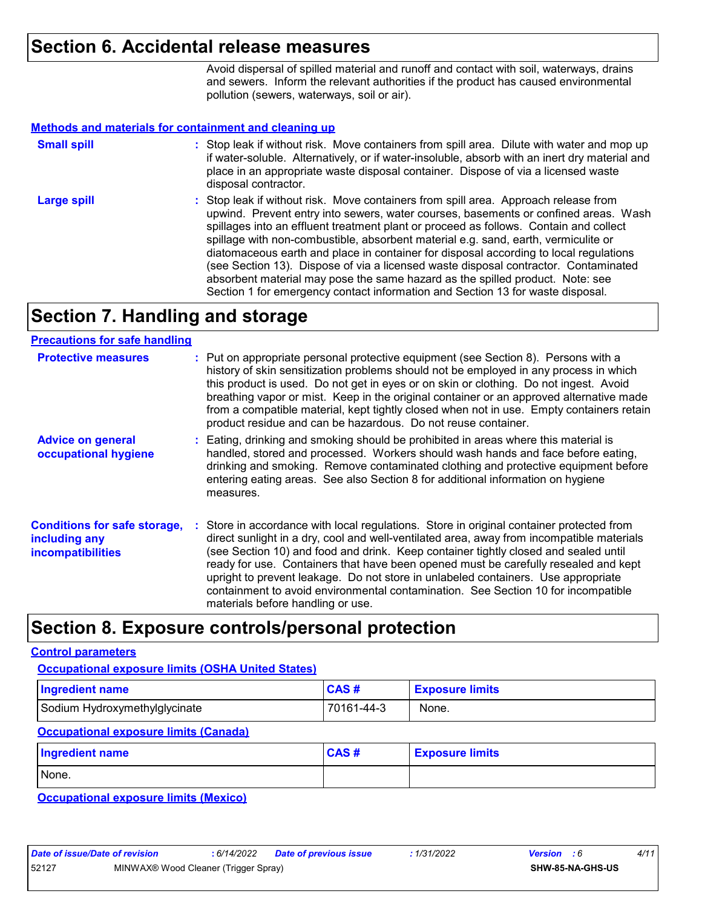### **Section 6. Accidental release measures**

Avoid dispersal of spilled material and runoff and contact with soil, waterways, drains and sewers. Inform the relevant authorities if the product has caused environmental pollution (sewers, waterways, soil or air).

#### **Methods and materials for containment and cleaning up**

| <b>Small spill</b> | : Stop leak if without risk. Move containers from spill area. Dilute with water and mop up<br>if water-soluble. Alternatively, or if water-insoluble, absorb with an inert dry material and<br>place in an appropriate waste disposal container. Dispose of via a licensed waste<br>disposal contractor.                                                                                                                                                                                                                                                                                                                                                                                                     |
|--------------------|--------------------------------------------------------------------------------------------------------------------------------------------------------------------------------------------------------------------------------------------------------------------------------------------------------------------------------------------------------------------------------------------------------------------------------------------------------------------------------------------------------------------------------------------------------------------------------------------------------------------------------------------------------------------------------------------------------------|
| <b>Large spill</b> | : Stop leak if without risk. Move containers from spill area. Approach release from<br>upwind. Prevent entry into sewers, water courses, basements or confined areas. Wash<br>spillages into an effluent treatment plant or proceed as follows. Contain and collect<br>spillage with non-combustible, absorbent material e.g. sand, earth, vermiculite or<br>diatomaceous earth and place in container for disposal according to local regulations<br>(see Section 13). Dispose of via a licensed waste disposal contractor. Contaminated<br>absorbent material may pose the same hazard as the spilled product. Note: see<br>Section 1 for emergency contact information and Section 13 for waste disposal. |

### **Section 7. Handling and storage**

#### **Precautions for safe handling**

| <b>Protective measures</b>                                                       | : Put on appropriate personal protective equipment (see Section 8). Persons with a<br>history of skin sensitization problems should not be employed in any process in which<br>this product is used. Do not get in eyes or on skin or clothing. Do not ingest. Avoid<br>breathing vapor or mist. Keep in the original container or an approved alternative made<br>from a compatible material, kept tightly closed when not in use. Empty containers retain<br>product residue and can be hazardous. Do not reuse container.                                                       |
|----------------------------------------------------------------------------------|------------------------------------------------------------------------------------------------------------------------------------------------------------------------------------------------------------------------------------------------------------------------------------------------------------------------------------------------------------------------------------------------------------------------------------------------------------------------------------------------------------------------------------------------------------------------------------|
| <b>Advice on general</b><br>occupational hygiene                                 | : Eating, drinking and smoking should be prohibited in areas where this material is<br>handled, stored and processed. Workers should wash hands and face before eating,<br>drinking and smoking. Remove contaminated clothing and protective equipment before<br>entering eating areas. See also Section 8 for additional information on hygiene<br>measures.                                                                                                                                                                                                                      |
| <b>Conditions for safe storage,</b><br>including any<br><b>incompatibilities</b> | : Store in accordance with local regulations. Store in original container protected from<br>direct sunlight in a dry, cool and well-ventilated area, away from incompatible materials<br>(see Section 10) and food and drink. Keep container tightly closed and sealed until<br>ready for use. Containers that have been opened must be carefully resealed and kept<br>upright to prevent leakage. Do not store in unlabeled containers. Use appropriate<br>containment to avoid environmental contamination. See Section 10 for incompatible<br>materials before handling or use. |

### **Section 8. Exposure controls/personal protection**

#### **Control parameters**

### Sodium Hydroxymethylglycinate **70161-44-3** None. **Ingredient name Exposure limits Exposure limits Occupational exposure limits (OSHA United States)** None. **Ingredient name Exposure limits Exposure limits Occupational exposure limits (Canada) CAS # CAS #**

**Occupational exposure limits (Mexico)**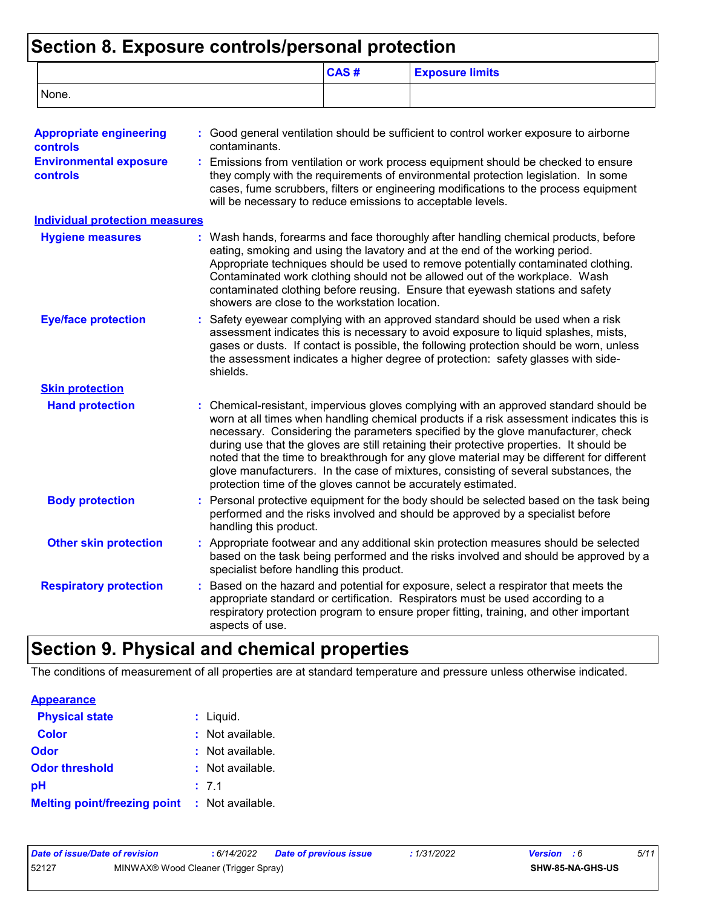### **Section 8. Exposure controls/personal protection**

|                                                  |                        | CAS#                                                                                                                                                                                                                                                                                                                                                                                                                                                                                                                                                                                                                   | <b>Exposure limits</b>                                                                                                                                                                                                                                                                                                                                                                                                    |  |  |
|--------------------------------------------------|------------------------|------------------------------------------------------------------------------------------------------------------------------------------------------------------------------------------------------------------------------------------------------------------------------------------------------------------------------------------------------------------------------------------------------------------------------------------------------------------------------------------------------------------------------------------------------------------------------------------------------------------------|---------------------------------------------------------------------------------------------------------------------------------------------------------------------------------------------------------------------------------------------------------------------------------------------------------------------------------------------------------------------------------------------------------------------------|--|--|
| None.                                            |                        |                                                                                                                                                                                                                                                                                                                                                                                                                                                                                                                                                                                                                        |                                                                                                                                                                                                                                                                                                                                                                                                                           |  |  |
| <b>Appropriate engineering</b><br>controls       | contaminants.          |                                                                                                                                                                                                                                                                                                                                                                                                                                                                                                                                                                                                                        | : Good general ventilation should be sufficient to control worker exposure to airborne                                                                                                                                                                                                                                                                                                                                    |  |  |
| <b>Environmental exposure</b><br><b>controls</b> |                        | Emissions from ventilation or work process equipment should be checked to ensure<br>they comply with the requirements of environmental protection legislation. In some<br>cases, fume scrubbers, filters or engineering modifications to the process equipment<br>will be necessary to reduce emissions to acceptable levels.                                                                                                                                                                                                                                                                                          |                                                                                                                                                                                                                                                                                                                                                                                                                           |  |  |
| <b>Individual protection measures</b>            |                        |                                                                                                                                                                                                                                                                                                                                                                                                                                                                                                                                                                                                                        |                                                                                                                                                                                                                                                                                                                                                                                                                           |  |  |
| <b>Hygiene measures</b>                          |                        | showers are close to the workstation location.                                                                                                                                                                                                                                                                                                                                                                                                                                                                                                                                                                         | : Wash hands, forearms and face thoroughly after handling chemical products, before<br>eating, smoking and using the lavatory and at the end of the working period.<br>Appropriate techniques should be used to remove potentially contaminated clothing.<br>Contaminated work clothing should not be allowed out of the workplace. Wash<br>contaminated clothing before reusing. Ensure that eyewash stations and safety |  |  |
| <b>Eye/face protection</b>                       | shields.               | Safety eyewear complying with an approved standard should be used when a risk<br>assessment indicates this is necessary to avoid exposure to liquid splashes, mists,<br>gases or dusts. If contact is possible, the following protection should be worn, unless<br>the assessment indicates a higher degree of protection: safety glasses with side-                                                                                                                                                                                                                                                                   |                                                                                                                                                                                                                                                                                                                                                                                                                           |  |  |
| <b>Skin protection</b>                           |                        |                                                                                                                                                                                                                                                                                                                                                                                                                                                                                                                                                                                                                        |                                                                                                                                                                                                                                                                                                                                                                                                                           |  |  |
| <b>Hand protection</b>                           |                        | : Chemical-resistant, impervious gloves complying with an approved standard should be<br>worn at all times when handling chemical products if a risk assessment indicates this is<br>necessary. Considering the parameters specified by the glove manufacturer, check<br>during use that the gloves are still retaining their protective properties. It should be<br>noted that the time to breakthrough for any glove material may be different for different<br>glove manufacturers. In the case of mixtures, consisting of several substances, the<br>protection time of the gloves cannot be accurately estimated. |                                                                                                                                                                                                                                                                                                                                                                                                                           |  |  |
| <b>Body protection</b>                           | handling this product. |                                                                                                                                                                                                                                                                                                                                                                                                                                                                                                                                                                                                                        | Personal protective equipment for the body should be selected based on the task being<br>performed and the risks involved and should be approved by a specialist before                                                                                                                                                                                                                                                   |  |  |
| <b>Other skin protection</b>                     |                        | specialist before handling this product.                                                                                                                                                                                                                                                                                                                                                                                                                                                                                                                                                                               | : Appropriate footwear and any additional skin protection measures should be selected<br>based on the task being performed and the risks involved and should be approved by a                                                                                                                                                                                                                                             |  |  |
| <b>Respiratory protection</b>                    | aspects of use.        |                                                                                                                                                                                                                                                                                                                                                                                                                                                                                                                                                                                                                        | Based on the hazard and potential for exposure, select a respirator that meets the<br>appropriate standard or certification. Respirators must be used according to a<br>respiratory protection program to ensure proper fitting, training, and other important                                                                                                                                                            |  |  |

### **Section 9. Physical and chemical properties**

The conditions of measurement of all properties are at standard temperature and pressure unless otherwise indicated.

#### **Physical state Melting point/freezing point : Not available.** Liquid. **: Odor** : Not available. **pH Color Color :** Not available. 7.1 **: Odor threshold** : Not available. **Appearance**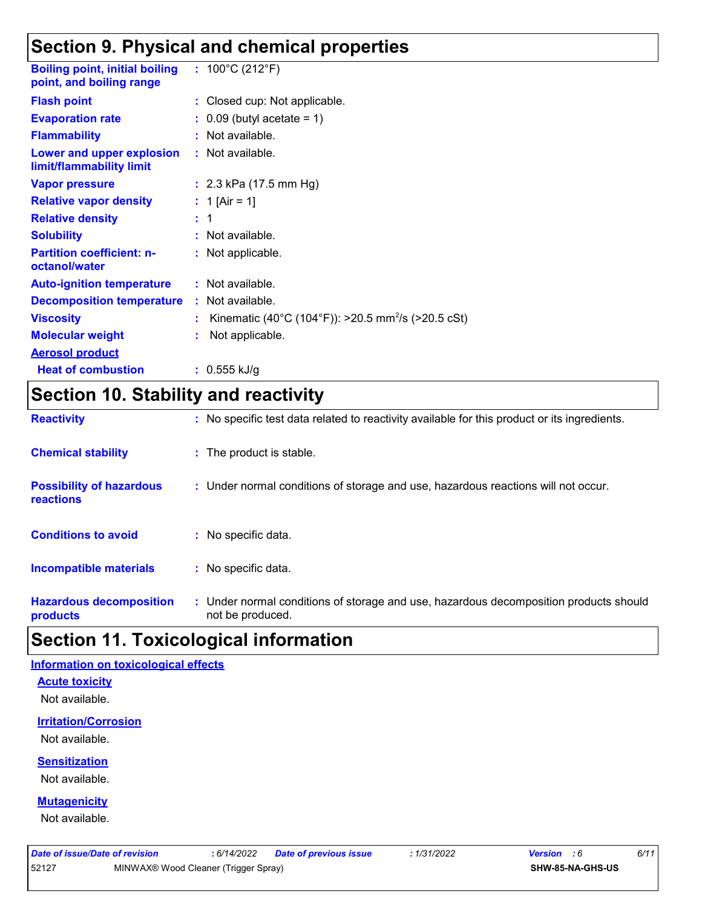### **Section 9. Physical and chemical properties**

| <b>Boiling point, initial boiling</b><br>point, and boiling range | : $100^{\circ}$ C (212 $^{\circ}$ F)                           |
|-------------------------------------------------------------------|----------------------------------------------------------------|
| <b>Flash point</b>                                                | : Closed cup: Not applicable.                                  |
| <b>Evaporation rate</b>                                           | $\therefore$ 0.09 (butyl acetate = 1)                          |
| <b>Flammability</b>                                               | : Not available.                                               |
| Lower and upper explosion<br>limit/flammability limit             | : Not available.                                               |
| <b>Vapor pressure</b>                                             | : $2.3$ kPa (17.5 mm Hg)                                       |
| <b>Relative vapor density</b>                                     | : 1 [Air = 1]                                                  |
| <b>Relative density</b>                                           | $\pm$ 1                                                        |
| <b>Solubility</b>                                                 | : Not available.                                               |
| <b>Partition coefficient: n-</b><br>octanol/water                 | : Not applicable.                                              |
| <b>Auto-ignition temperature</b>                                  | : Not available.                                               |
| <b>Decomposition temperature</b>                                  | : Not available.                                               |
| <b>Viscosity</b>                                                  | Kinematic (40°C (104°F)): >20.5 mm <sup>2</sup> /s (>20.5 cSt) |
| <b>Molecular weight</b>                                           | Not applicable.                                                |
| <b>Aerosol product</b>                                            |                                                                |
| <b>Heat of combustion</b>                                         | : $0.555$ kJ/g                                                 |

### **Section 10. Stability and reactivity**

| <b>Reactivity</b>                            | : No specific test data related to reactivity available for this product or its ingredients.              |
|----------------------------------------------|-----------------------------------------------------------------------------------------------------------|
| <b>Chemical stability</b>                    | : The product is stable.                                                                                  |
| <b>Possibility of hazardous</b><br>reactions | : Under normal conditions of storage and use, hazardous reactions will not occur.                         |
| <b>Conditions to avoid</b>                   | : No specific data.                                                                                       |
| <b>Incompatible materials</b>                | : No specific data.                                                                                       |
| <b>Hazardous decomposition</b><br>products   | : Under normal conditions of storage and use, hazardous decomposition products should<br>not be produced. |

### **Section 11. Toxicological information**

#### **Information on toxicological effects**

#### **Acute toxicity**

Not available.

#### **Irritation/Corrosion**

Not available.

### **Sensitization**

Not available.

### **Mutagenicity**

Not available.

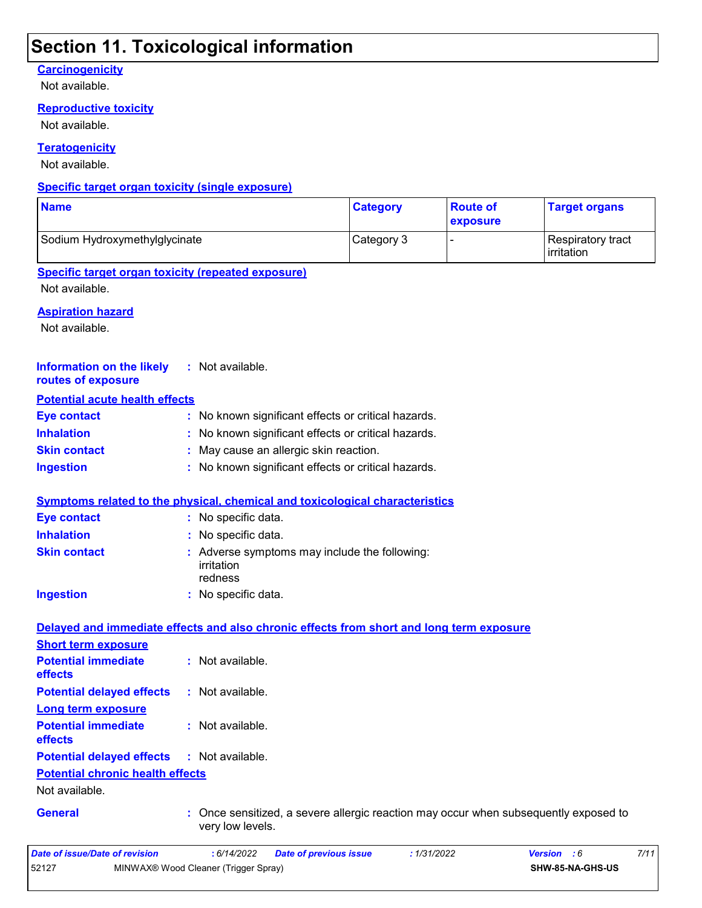### **Section 11. Toxicological information**

### **Carcinogenicity**

Not available.

#### **Reproductive toxicity**

Not available.

#### **Teratogenicity**

Not available.

#### **Specific target organ toxicity (single exposure)**

| <b>Name</b>                   | <b>Category</b> | <b>Route of</b><br><b>exposure</b> | <b>Target organs</b>                     |
|-------------------------------|-----------------|------------------------------------|------------------------------------------|
| Sodium Hydroxymethylglycinate | Category 3      |                                    | Respiratory tract<br><b>l</b> irritation |

#### **Specific target organ toxicity (repeated exposure)**

Not available.

#### **Aspiration hazard**

Not available.

| <b>Information on the likely</b><br>routes of exposure | : Not available.                                                                                       |
|--------------------------------------------------------|--------------------------------------------------------------------------------------------------------|
| <b>Potential acute health effects</b>                  |                                                                                                        |
| <b>Eye contact</b>                                     | : No known significant effects or critical hazards.                                                    |
| <b>Inhalation</b>                                      | No known significant effects or critical hazards.                                                      |
| <b>Skin contact</b>                                    | May cause an allergic skin reaction.                                                                   |
| <b>Ingestion</b>                                       | : No known significant effects or critical hazards.                                                    |
|                                                        | <b>Symptoms related to the physical, chemical and toxicological characteristics</b>                    |
| <b>Eye contact</b>                                     | : No specific data.                                                                                    |
| <b>Inhalation</b>                                      | : No specific data.                                                                                    |
| <b>Skin contact</b>                                    | Adverse symptoms may include the following:<br>irritation<br>redness                                   |
| <b>Ingestion</b>                                       | : No specific data.                                                                                    |
|                                                        | Delayed and immediate effects and also chronic effects from short and long term exposure               |
| <b>Short term exposure</b>                             |                                                                                                        |
| <b>Potential immediate</b><br>effects                  | : Not available.                                                                                       |
| <b>Potential delayed effects</b>                       | : Not available.                                                                                       |
| <b>Long term exposure</b>                              |                                                                                                        |
| <b>Potential immediate</b><br>effects                  | : Not available.                                                                                       |
| <b>Potential delayed effects</b>                       | : Not available.                                                                                       |
| <b>Potential chronic health effects</b>                |                                                                                                        |
| Not available.                                         |                                                                                                        |
| <b>General</b>                                         | Once sensitized, a severe allergic reaction may occur when subsequently exposed to<br>very low levels. |
| <b>Date of issue/Date of revision</b>                  | : 6/14/2022<br>: 1/31/2022<br>7/11<br><b>Date of previous issue</b><br>Version : 6                     |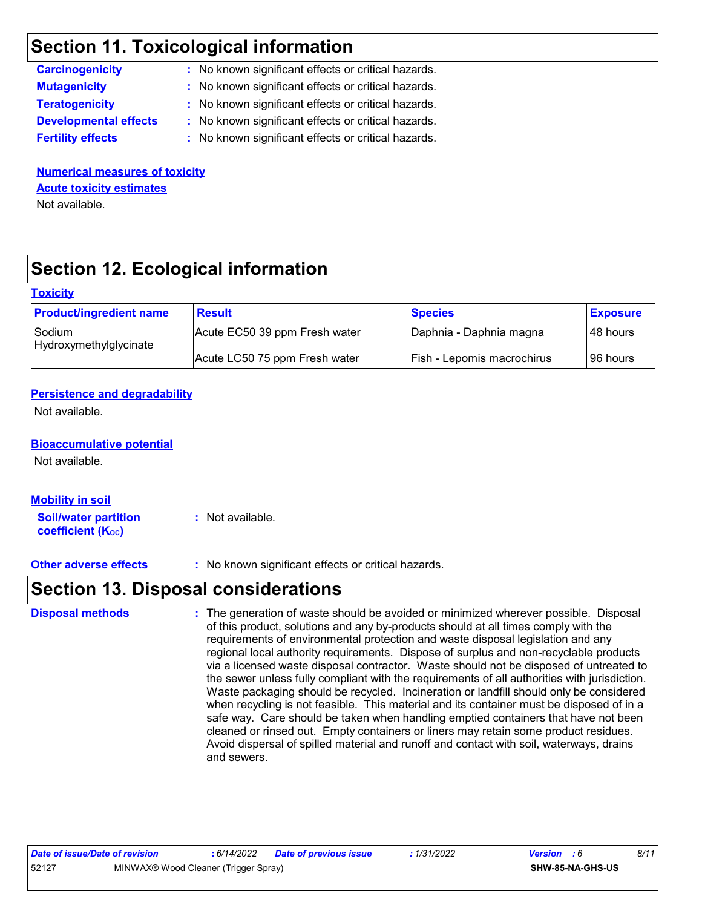### **Section 11. Toxicological information**

| : No known significant effects or critical hazards. |
|-----------------------------------------------------|
| : No known significant effects or critical hazards. |
| : No known significant effects or critical hazards. |
| : No known significant effects or critical hazards. |
| : No known significant effects or critical hazards. |
|                                                     |

**Numerical measures of toxicity** Not available. **Acute toxicity estimates**

# **Section 12. Ecological information**

#### **Toxicity**

| <b>Product/ingredient name</b>   | <b>Result</b>                 | <b>Species</b>             | <b>Exposure</b> |
|----------------------------------|-------------------------------|----------------------------|-----------------|
| Sodium<br>Hydroxymethylglycinate | Acute EC50 39 ppm Fresh water | Daphnia - Daphnia magna    | l 48 hours i    |
|                                  | Acute LC50 75 ppm Fresh water | Fish - Lepomis macrochirus | 196 hours       |

#### **Persistence and degradability**

Not available.

#### **Bioaccumulative potential**

Not available.

| <b>Mobility in soil</b>     |                  |
|-----------------------------|------------------|
| <b>Soil/water partition</b> | : Not available. |
| <b>coefficient (Koc)</b>    |                  |

**Other adverse effects** : No known significant effects or critical hazards.

### **Section 13. Disposal considerations**

The generation of waste should be avoided or minimized wherever possible. Disposal of this product, solutions and any by-products should at all times comply with the requirements of environmental protection and waste disposal legislation and any regional local authority requirements. Dispose of surplus and non-recyclable products via a licensed waste disposal contractor. Waste should not be disposed of untreated to the sewer unless fully compliant with the requirements of all authorities with jurisdiction. Waste packaging should be recycled. Incineration or landfill should only be considered when recycling is not feasible. This material and its container must be disposed of in a safe way. Care should be taken when handling emptied containers that have not been cleaned or rinsed out. Empty containers or liners may retain some product residues. Avoid dispersal of spilled material and runoff and contact with soil, waterways, drains and sewers. **Disposal methods :**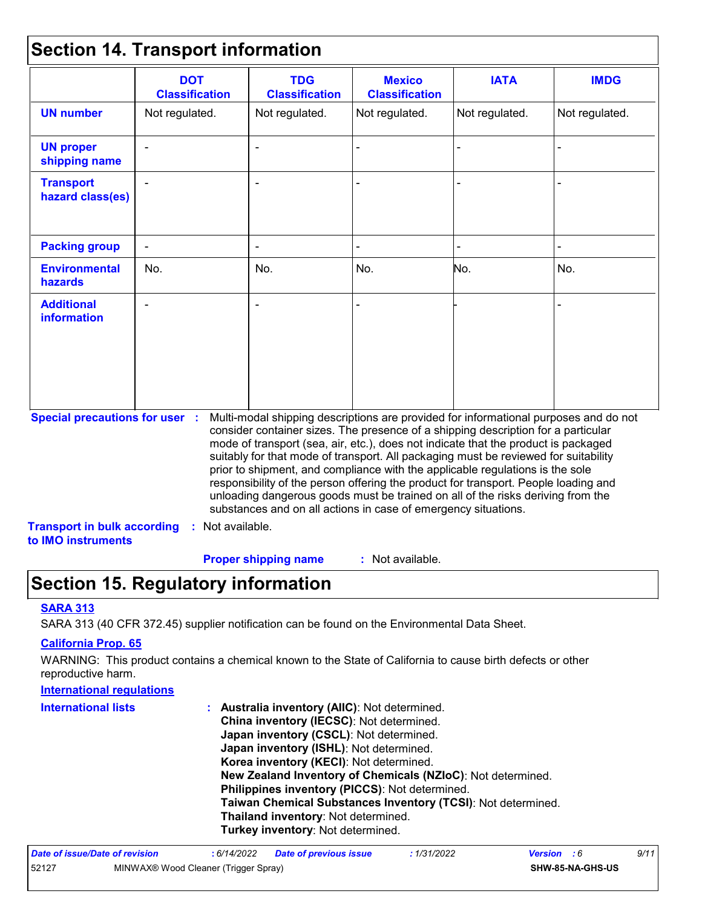### **Section 14. Transport information**

|                                                                                                                                                                                                                                                                                                                                                                                                                                                                                                                                                                                                                                                                                                                              | <b>DOT</b><br><b>Classification</b> | <b>TDG</b><br><b>Classification</b> | <b>Mexico</b><br><b>Classification</b> | <b>IATA</b>    | <b>IMDG</b>    |
|------------------------------------------------------------------------------------------------------------------------------------------------------------------------------------------------------------------------------------------------------------------------------------------------------------------------------------------------------------------------------------------------------------------------------------------------------------------------------------------------------------------------------------------------------------------------------------------------------------------------------------------------------------------------------------------------------------------------------|-------------------------------------|-------------------------------------|----------------------------------------|----------------|----------------|
| <b>UN number</b>                                                                                                                                                                                                                                                                                                                                                                                                                                                                                                                                                                                                                                                                                                             | Not regulated.                      | Not regulated.                      | Not regulated.                         | Not regulated. | Not regulated. |
| <b>UN proper</b><br>shipping name                                                                                                                                                                                                                                                                                                                                                                                                                                                                                                                                                                                                                                                                                            |                                     |                                     |                                        |                |                |
| <b>Transport</b><br>hazard class(es)                                                                                                                                                                                                                                                                                                                                                                                                                                                                                                                                                                                                                                                                                         | $\blacksquare$                      |                                     |                                        |                |                |
| <b>Packing group</b>                                                                                                                                                                                                                                                                                                                                                                                                                                                                                                                                                                                                                                                                                                         |                                     |                                     |                                        |                |                |
| <b>Environmental</b><br>hazards                                                                                                                                                                                                                                                                                                                                                                                                                                                                                                                                                                                                                                                                                              | No.                                 | No.                                 | No.                                    | No.            | No.            |
| <b>Additional</b><br><b>information</b>                                                                                                                                                                                                                                                                                                                                                                                                                                                                                                                                                                                                                                                                                      |                                     |                                     |                                        |                |                |
| <b>Special precautions for user :</b><br>Multi-modal shipping descriptions are provided for informational purposes and do not<br>consider container sizes. The presence of a shipping description for a particular<br>mode of transport (sea, air, etc.), does not indicate that the product is packaged<br>suitably for that mode of transport. All packaging must be reviewed for suitability<br>prior to shipment, and compliance with the applicable regulations is the sole<br>responsibility of the person offering the product for transport. People loading and<br>unloading dangerous goods must be trained on all of the risks deriving from the<br>substances and on all actions in case of emergency situations. |                                     |                                     |                                        |                |                |
| <b>Transport in bulk according</b><br>to IMO instruments                                                                                                                                                                                                                                                                                                                                                                                                                                                                                                                                                                                                                                                                     | : Not available.                    |                                     |                                        |                |                |
|                                                                                                                                                                                                                                                                                                                                                                                                                                                                                                                                                                                                                                                                                                                              |                                     | <b>Proper shipping name</b>         | : Not available.                       |                |                |

### **Section 15. Regulatory information**

#### **SARA 313**

SARA 313 (40 CFR 372.45) supplier notification can be found on the Environmental Data Sheet.

#### **California Prop. 65**

WARNING: This product contains a chemical known to the State of California to cause birth defects or other reproductive harm.

| <b>International requlations</b> |                                                                                                                                                                                                                                                                                                                                             |
|----------------------------------|---------------------------------------------------------------------------------------------------------------------------------------------------------------------------------------------------------------------------------------------------------------------------------------------------------------------------------------------|
| <b>International lists</b>       | : Australia inventory (AIIC): Not determined.<br>China inventory (IECSC): Not determined.<br>Japan inventory (CSCL): Not determined.<br>Japan inventory (ISHL): Not determined.<br>Korea inventory (KECI): Not determined.<br>New Zealand Inventory of Chemicals (NZIoC): Not determined.<br>Philippines inventory (PICCS): Not determined. |
|                                  | Taiwan Chemical Substances Inventory (TCSI): Not determined.<br>Thailand inventory: Not determined.<br>Turkey inventory: Not determined.                                                                                                                                                                                                    |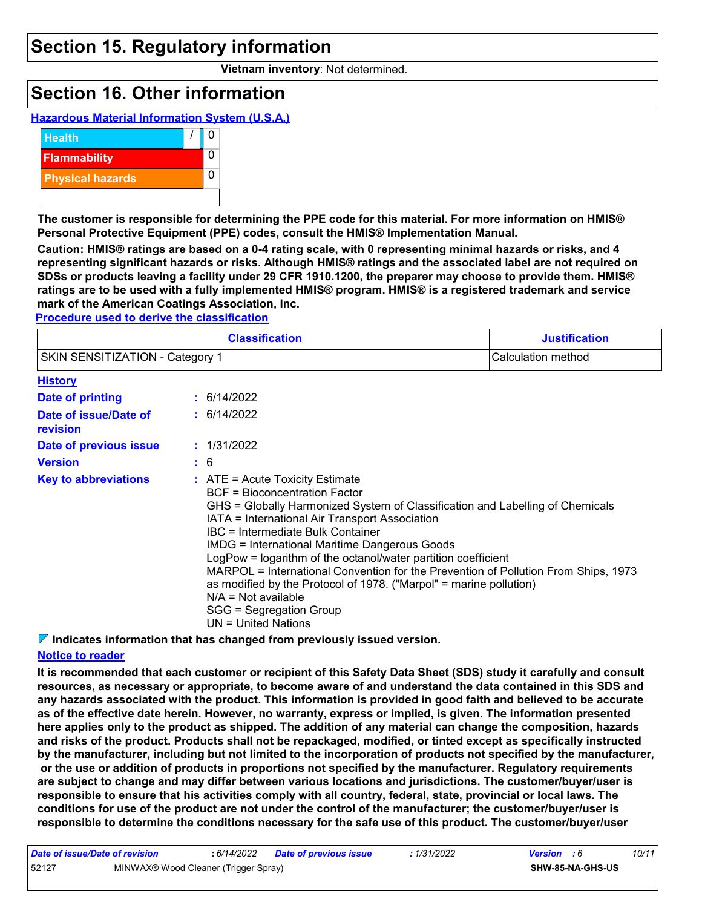### **Section 15. Regulatory information**

**Vietnam inventory**: Not determined.

### **Section 16. Other information**





**The customer is responsible for determining the PPE code for this material. For more information on HMIS® Personal Protective Equipment (PPE) codes, consult the HMIS® Implementation Manual.**

**Caution: HMIS® ratings are based on a 0-4 rating scale, with 0 representing minimal hazards or risks, and 4 representing significant hazards or risks. Although HMIS® ratings and the associated label are not required on SDSs or products leaving a facility under 29 CFR 1910.1200, the preparer may choose to provide them. HMIS® ratings are to be used with a fully implemented HMIS® program. HMIS® is a registered trademark and service mark of the American Coatings Association, Inc.**

**Procedure used to derive the classification**

|                                   | <b>Justification</b> |                                                                                                                                                                                                                                                                                                                                                                                                                                                                                                                                                                                                                   |                    |
|-----------------------------------|----------------------|-------------------------------------------------------------------------------------------------------------------------------------------------------------------------------------------------------------------------------------------------------------------------------------------------------------------------------------------------------------------------------------------------------------------------------------------------------------------------------------------------------------------------------------------------------------------------------------------------------------------|--------------------|
| SKIN SENSITIZATION - Category 1   |                      |                                                                                                                                                                                                                                                                                                                                                                                                                                                                                                                                                                                                                   | Calculation method |
| <b>History</b>                    |                      |                                                                                                                                                                                                                                                                                                                                                                                                                                                                                                                                                                                                                   |                    |
| Date of printing                  |                      | : 6/14/2022                                                                                                                                                                                                                                                                                                                                                                                                                                                                                                                                                                                                       |                    |
| Date of issue/Date of<br>revision |                      | : 6/14/2022                                                                                                                                                                                                                                                                                                                                                                                                                                                                                                                                                                                                       |                    |
| Date of previous issue            |                      | : 1/31/2022                                                                                                                                                                                                                                                                                                                                                                                                                                                                                                                                                                                                       |                    |
| <b>Version</b>                    |                      | : 6                                                                                                                                                                                                                                                                                                                                                                                                                                                                                                                                                                                                               |                    |
| <b>Key to abbreviations</b>       |                      | $:$ ATE = Acute Toxicity Estimate<br><b>BCF</b> = Bioconcentration Factor<br>GHS = Globally Harmonized System of Classification and Labelling of Chemicals<br>IATA = International Air Transport Association<br>IBC = Intermediate Bulk Container<br><b>IMDG = International Maritime Dangerous Goods</b><br>LogPow = logarithm of the octanol/water partition coefficient<br>MARPOL = International Convention for the Prevention of Pollution From Ships, 1973<br>as modified by the Protocol of 1978. ("Marpol" = marine pollution)<br>$N/A = Not available$<br>SGG = Segregation Group<br>UN = United Nations |                    |

**Indicates information that has changed from previously issued version.**

#### **Notice to reader**

**It is recommended that each customer or recipient of this Safety Data Sheet (SDS) study it carefully and consult resources, as necessary or appropriate, to become aware of and understand the data contained in this SDS and any hazards associated with the product. This information is provided in good faith and believed to be accurate as of the effective date herein. However, no warranty, express or implied, is given. The information presented here applies only to the product as shipped. The addition of any material can change the composition, hazards and risks of the product. Products shall not be repackaged, modified, or tinted except as specifically instructed by the manufacturer, including but not limited to the incorporation of products not specified by the manufacturer, or the use or addition of products in proportions not specified by the manufacturer. Regulatory requirements are subject to change and may differ between various locations and jurisdictions. The customer/buyer/user is responsible to ensure that his activities comply with all country, federal, state, provincial or local laws. The conditions for use of the product are not under the control of the manufacturer; the customer/buyer/user is responsible to determine the conditions necessary for the safe use of this product. The customer/buyer/user** 

| Date of issue/Date of revision |                                      | : 6/14/2022 | Date of previous issue | : 1/31/2022 | <b>Version</b> : 6 |                         | 10/11 |
|--------------------------------|--------------------------------------|-------------|------------------------|-------------|--------------------|-------------------------|-------|
| 52127                          | MINWAX® Wood Cleaner (Trigger Spray) |             |                        |             |                    | <b>SHW-85-NA-GHS-US</b> |       |